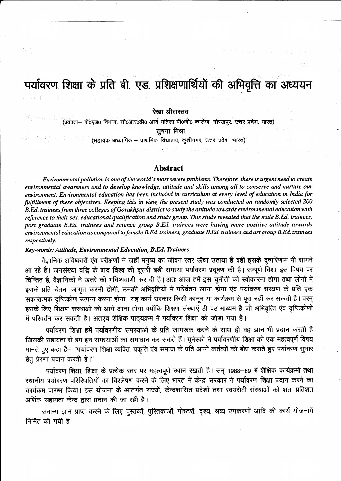# पर्यावरण शिक्षा के प्रति बी. एड. प्रशिक्षणार्थियों की अभिवृत्ति का अध्ययन

रेखा श्रीवास्तव

(प्रवक्ता- बीoएड0 विभाग, सी0आर0डी0 आर्य महिला पी0जी0 कालेज, गोरखपुर, उत्तर प्रदेश, भारत) सूषमा मिश्रा

(सहायक अध्यापिका- प्राथमिक विद्यालय, कुशीनगर, उत्तर प्रदेश, भारत)

## **Abstract**

Environmental pollution is one of the world's most severe problems. Therefore, there is urgent need to create environmental awareness and to develop knowledge, attitude and skills among all to conserve and nurture our environment. Environmental education has been included in curriculum at every level of education in India for fulfillment of these objectives. Keeping this in view, the present study was conducted on randomly selected 200 B.Ed. trainees from three colleges of Gorakhpur district to study the attitude towards environmental education with reference to their sex, educational qualification and study group. This study revealed that the male B.Ed. trainees, post graduate B.Ed. trainees and science group B.Ed. trainees were having more positive attitude towards environmental education as compared to female B.Ed. trainees, graduate B.Ed. trainees and art group B.Ed. trainees respectively.

## Key-words: Attitude, Environmental Education, B.Ed. Trainees

로운족

65 线 零的是() (1) 64

वैज्ञानिक अविष्कारों एंव परीक्षणों ने जहाँ मनृष्य का जीवन स्तर ऊँचा उठाया है वहीं इसके दूष्परिणाम भी सामने आ रहे है। जनसंख्या वृद्धि के बाद विश्व की दूसरी बड़ी समस्या पर्यावरण प्रदूषण की है। सम्पूर्ण विश्व इस विषय पर चिन्तित है, वैज्ञानिकों ने खतरे की भविष्यवाणी कर दी है। अतः आज हमें इस चुनौती को स्वीकारना होगा तथा लोगों में इसके प्रति चेतना जागृत करनी होगी, उनकी अभिवृत्तियों में परिर्वतन लाना होगा एंव पर्यावरण संरक्षण के प्रति एक सकारात्मक दृष्टिकोण उत्पन्न करना होगा। यह कार्य सरकार किसी कानून या कार्यक्रम से पूरा नहीं कर सकती है। वरन् इसके लिए शिक्षण संस्थाओं को आगे आना होगा क्योंकि शिक्षण संस्थाएँ ही वह माध्यम है जो अभिवृत्ति एंव दृष्टिकोणो में परिवर्तन कर सकती है। अतएव शैक्षिक पाठ्यक्रम में पर्यावरण शिक्षा को जोड़ा गया है।

पर्यावरण शिक्षा हमें पर्यावरणीय समस्याओं के प्रति जागरूक करने के साथ ही वह ज्ञान भी प्रदान करती है जिसकी सहायता से हम इन समस्याओं का समाधान कर सकते हैं। यूनेस्को ने पर्यावरणीय शिक्षा को एक महत्वपूर्ण विषय मानते हुए कहा है– "पर्यावरण शिक्षा व्यक्ति, प्रकृति एंव समाज के प्रति अपने कर्तव्यों को बोध कराते हुए पर्यावरण सुधार हेतु प्रेरणा प्रदान करती है।''

पर्यावरण शिक्षा, शिक्षा के प्रत्येक स्तर पर महत्वपूर्ण स्थान रखती है। सन् 1988-89 में शैक्षिक कार्यक्रमों तथा स्थानीय पर्यावरण परिस्थितियों का विश्लेषण करने के लिए भारत में केन्द्र सरकार ने पर्यावरण शिक्षा प्रदान करने का कार्यक्रम प्रारम्भ किया। इस योजना के अन्तर्गत राज्यों, केन्द्रशासित प्रदेशों तथा स्वयंसेवी संस्थाओं को शत–प्रतिशत अर्थिक सहायता केन्द्र द्वारा प्रदान की जा रही है।

समान्य ज्ञान प्राप्त करने के लिए पूस्तकों, पुस्तिकाओं, पोस्टरों, दृश्य, श्रव्य उपकरणों आदि की कार्य योजनायें निर्मित की गयी है।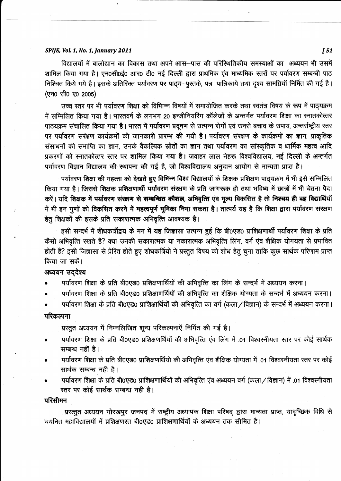#### SPIJE, Vol. 1, No. 1, January 2011

विद्यालयों में बालोद्यान का विकास तथा अपने आस-पास की परिस्थितिकीय समस्याओं का अध्ययन भी उसमें शामिल किया गया है। एन0सी0ई0 आर0 टी0 नई दिल्ली द्वारा प्राथमिक एंव माध्यमिक स्तरों पर पर्यावरण सम्बन्धी पाठ निश्चित किये गये है। इसके अतिरिक्त पर्यावरण पर पाठ्य-पुस्तके, पत्र-पात्रिकाये तथा दृश्य सामग्रियॉ निर्मित की गई है। (एन0 सी0 ए0 2005)

उच्च स्तर पर भी पर्यावरण शिक्षा को विभान्न विषयों में समायोजित करके तथा स्वतंत्र विषय के रूप में पाठ्यक्रम में सम्मिलित किया गया है। भारतवर्ष के लगभग 20 इन्जीनियरिंग कॉलेजों के अन्तर्गत पर्यावरण शिक्षा का स्नातकोत्तर पाठयक्रम संचालित किया गया है। भारत में पर्यावरण प्रदूषण से उत्पन्न रोगों एवं उनसे बचाव के उपाय, अन्तर्राष्ट्रीय स्तर पर पर्यावरण सरंक्षण कार्यक्रमों की जानकारी प्रारम्भ की गयी है। पर्यावरण संरक्षण के कार्यक्रमों का ज्ञान, प्राकृतिक संसाधनों की समाप्ति का ज्ञान, उनके वैकल्पिक स्रोतों का ज्ञान तथा पर्यावरण का सांस्कृतिक व धार्मिक महत्व आदि प्रकरणों को स्नातकोत्तर स्तर पर शामिल किया गया है। जवाहर लाल नेहरू विश्वविद्यालय, नई दिल्ली के अन्तर्गत पर्यावरण विज्ञान विद्यालय की स्थापना की गई है, जो विश्वविद्यालय अनुदान आयोग से मान्यता प्राप्त है।

पर्यावरण शिक्षा की महत्ता को देखते हुए विभिन्न विश्व विद्यालयों के शिक्षक प्रशिक्षण पाठ्यक्रम में भी इसे सम्मिलित किया गया है। जिससे शिक्षक प्रशिक्षणार्थी पर्यावरण संरक्षण के प्रति जागरूक हो तथा भविष्य में छात्रों में भी चेतना पैदा करें। यदि शिक्षक में पर्यावरण संरक्षण से सम्बन्धित कौशल, अभिवृत्ति एवं मूल्य विकसित है तो निश्चय ही वह विद्यार्थियों में भी इन गुणों को विकसित करने में महत्वपूर्ण भूमिका निमा सकता है। तात्पर्य यह है कि शिक्षा द्वारा पर्यावरण सरक्षण हेतु शिक्षकों की इसके प्रति सकारात्मक अभिवृत्ति आवश्यक है।

इसी सन्दर्भ में शोधकर्त्रीद्वय के मन में यह जिज्ञासा उत्पन्न हुई कि बी0एड0 प्राशिक्षणार्थी पर्यावरण शिक्षा के प्रति कैसी अभिवृत्ति रखते है? क्या उनकी सकारात्मक या नकारात्मक अभिवृत्ति लिंग, वर्ग एंव शैक्षिक योगयता से प्रभावित होती है? इसी जिज्ञासा से प्रेरित होते हुए शोधकर्त्रियो ने प्रस्तुत विषय को शोध हेतू चुना ताकि कुछ सार्थक परिणाम प्राप्त किया जा सकें।

## अध्ययन उददेश्य

पर्यावरण शिक्षा के प्रति बी0एड0 प्रशिक्षणार्थियों की अभिवृत्ति का लिंग के सन्दर्भ में अध्ययन करना।

पर्यावरण शिक्षा के प्रति बी0एड0 प्रशिक्षाणर्थियों की अभिवृत्ति का शैक्षिक योग्यता के सन्दर्भ में अध्ययन करना।

पर्यावरण शिक्षा के प्रति बी0एड0 प्राशिक्षार्थियों की अभिवृत्ति का वर्ग (कला / विज्ञान) के सन्दर्भ में अध्ययन करना। परिकल्पना

प्रस्तुत अध्ययन में निम्नलिखित शून्य परिकल्पनाएँ निर्मित की गई है।

- पर्यावरण शिक्षा के प्रति बी0एड0 प्रशिक्षणर्थियों की अभिवृत्ति एंव लिंग में .01 विश्वस्नीयता स्तर पर कोई सार्थक सम्बन्ध नहीं है।
- पर्यावरण शिक्षा के प्रति बी0एड0 प्राशिक्षणर्थियो की अभिवृत्ति एंव शैक्षिक योग्यता में .01 विश्वस्नीयता स्तर पर कोई सार्थक सम्बन्ध नही है।
- पर्यावरण शिक्षा के प्रति बी0एड0 प्राशिक्षणार्थियों की अभिवृत्ति एंव अध्ययन वर्ग (कला / विज्ञान) में .01 विश्वस्नीयता स्तर पर कोई सार्थक सम्बन्ध नही है।

परिसीमन

प्रस्तुत अध्ययन गोरखपुर जनपद में राष्ट्रीय अध्यापक शिक्षा परिषद् द्वारा मान्यता प्राप्त, यादृच्छिक विधि से चयनित महाविद्यालयों में प्रशिक्षणरत बी0एड0 प्राशिक्षणार्थियों के अध्ययन तक सीमित है।

 $151$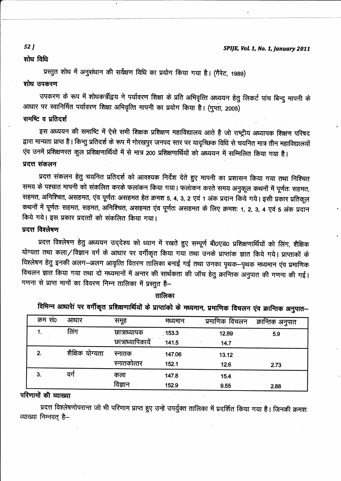#### शोध विधि

प्रस्तुत शोध में अनुसंधान की सर्वेक्षण विधि का प्रयोग किया गया है। (गैरेट, 1989)

#### शोध उपकरण

उपकरण के रूप में शोधकर्त्रीद्वय ने पर्यावरण शिक्षा के प्रति अभिवृत्ति अध्ययन हेतु लिकर्ट पांच बिन्दु मापनी के आधार पर स्वानिर्मित पर्यावरण शिक्षा अभिवृत्ति मापनी का प्रयोग किया है। (गुप्ता, 2005)

# समष्टि व प्रतिदर्श

इस अध्ययन की समाष्टि में ऐसे सभी शिक्षक प्रशिक्षण महाविद्यालय आते है जो राष्ट्रीय अध्यापक शिक्षण परिषद द्वारा मान्यता प्राप्त है। किन्तु प्रतिदर्श के रूप में गोरखपुर जनपद स्तर पर यादृच्छिक विधि से चयनित मात्र तीन महाविद्यालयों एंव उनमें प्रशिक्षणरत कुल प्रशिक्षणार्थियों में से मात्र 200 प्रशिक्षणार्थियों को अध्ययन में सम्मिलित किया गया है।

## प्रदत्त संकलन

प्रदत्त संकलन हेतु चयनित प्रतिदर्श को आवश्यक निर्देश देते हुए मापनी का प्रशासन किया गया तथा निश्चित समय के पश्चात मापनी को संकलित करके फलांकन किया गया। फलांकन करते समय अनुकूल कथनों में पूर्णतः सहमत, सहमत, अनिश्चित, असहमत, एंव पूर्णतः असहमत हेत क्रमश 5, 4, 3, 2 एवं 1 अंक प्रदान किये गये। इसी प्रकार प्रतिकूल कथनों में पूर्णतः सहमत, सहमत, अनिश्चित, असहमत एंव पूर्णतः असहमत के लिए क्रमशः १, २, ३, ४ एवं ५ अंक प्रदान किये गये। इस प्रकार प्रदत्तों को संकलित किया गया।

# प्रदत्त विश्लेषण

प्रदत्त विश्लेषण हेतु अध्ययन उद्देश्य को ध्यान में रखते हुए सम्पूर्ण बी0एड0 प्रशिक्षणार्थियों को लिंग, शैक्षिक योग्यता तथा कला/विज्ञान वर्ग के आधार पर वर्गीकृत किया गया तथा उनके प्राप्तांक ज्ञात किये गये। प्राप्ताकों के विश्लेषण हेतु इनकी अलग—अलग आवृत्ति वितरण तालिका बनाई गई तथा उनका पृथक—पृथक मध्यमान एंव प्रमाणिक विचलन ज्ञात किया गया तथा दो मध्यमानों में अन्तर की सार्थकता की जॉच हेतु क्रान्तिक अनुपात की गणना की गई। गणना से प्राप्त मानों का विवरण निम्न तालिका में प्रस्तुत है-

| – היירי ייטארי אי שאווין איזויר א די היירי שאווין איזויר א די היירי אי די היירי שאינאר. אין די היירי היירי הייר |                 |                   |         |                |                  |
|-----------------------------------------------------------------------------------------------------------------|-----------------|-------------------|---------|----------------|------------------|
| क्रम सं0                                                                                                        | आधार            | समूह              | मध्यमान | प्रमाणिक विचलन | क्रान्तिक अनुपात |
|                                                                                                                 | लिंग            | छात्राध्यापक      | .153.3  | 12.89          | 5.9              |
|                                                                                                                 |                 | छात्राध्यापिकायें | 141.5   | 14.7           |                  |
| 2.                                                                                                              | शैक्षिक योग्यता | स्नातक            | 147.06  | 13.12          |                  |
|                                                                                                                 |                 | स्नातकोत्तर       | 152.1   | 12.6           | 2.73             |
| 3.                                                                                                              | वर्ग            | कला               | 147.8   | 15.4           |                  |
|                                                                                                                 |                 | विज्ञान           | 152 Q   | <b>Q 55</b>    | 200              |

#### तालिका

 $\theta$ भिन्न थाधारेां पर तार्कित पुणिश्रापार्थियों के पुण्यांको

#### परिणामों की व्याख्या

प्रदत्त विश्लेषणोपरान्त जो भी परिणाम प्राप्त हुए उन्हे उपर्युक्त तालिका में प्रदर्शित किया गया है। जिनकी क्रमशः व्याख्या निम्नवत् है-

#### **52 J**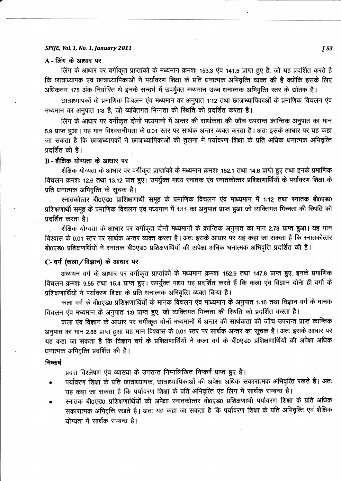#### SPIJE, Vol. 1, No. 1, January 2011

## $A$  - लिंग के आधार पर

लिंग के आधार पर वर्गीकृत प्राप्तांको के मध्यमान क्रमशः 153.3 एंव 141.5 प्राप्त हुए है, जो यह प्रदर्शित करते है कि छात्राध्यापक एंव छात्राध्यापिकाओं ने पर्यावरण शिक्षा के प्रति धनात्मक अभिवृत्ति व्यक्त की है क्योंकि इसके लिए अधिकतम 175 अंक निर्धारित थे इनके सन्दर्भ में उपर्युक्त मध्यमान उच्च धनात्मक अभिवृत्ति स्तर के द्योतक है।

छात्राध्यापकों के प्रमाणिक विचलन एंव मध्यमान का अनुपात 1:12 तथा छात्राध्यापिकाओं के प्रमाणिक विचलन एंव मध्यमान का अनुपात 1:8 है, जो व्यक्तिगत भिन्नता की स्थिति को प्रदर्शित करता है।

लिंग के आधार पर वर्गीकृत दोनों मध्यमानों में अन्तर की सार्थकता की जॉच उपरान्त क्रान्तिक अनुपात का मान 5.9 प्राप्त हुआ। यह मान विश्वसनीयता के 0.01 स्तर पर सार्थक अन्तर व्यक्त करता है। अतः इसके आधार पर यह कहा जा सकता है कि छात्राध्यापकों ने छात्राध्यापिकाओं की तुलना में पर्यावरण शिक्षा के प्रति अधिक धनात्मक अभिवृत्ति प्रदर्शित की है।

## B-शैक्षिक योग्यता के आधार पर

शैक्षिक योग्यता के आधार पर वर्गीकृत प्राप्तांको के मध्यमान क्रमशः 152.1 तथा 14.6 प्राप्त हुए तथा इनके प्रमाणिक विचलन क्रमशः 12.6 तथा 13.12 प्रात हुए। उपर्युक्त माध्य स्नातक एंव स्नातकोत्तर प्रशिक्षणार्थियों के पर्यावरण शिक्षा के प्रति धनात्मक अभिवृत्ति के सूचक है।

स्नातकोत्तर बी0एड0 प्राशिक्षणार्थी समूह के प्रमाणिक विचलन एव माध्यमान में 1:12 तथा स्नातक बी0एड0 प्रशिक्षणार्थी समूह के प्रमाणिक विचलन एंव मध्यमान में 1:11 का अनुपात प्राप्त हुआ जो व्यक्तिगत भिन्नता की स्थिति को प्रदर्शित करता है।

शैक्षिक योग्यता के आधार पर वर्गीकृत दोनों मध्यमानों के क्रान्तिक अनुपात का मान 2.73 प्राप्त हुआ। यह मान विश्वास के 0.01 स्तर पर सार्थक अन्तर व्यक्त करता है। अतः इसके आधार पर यह कहा जा सकता है कि स्नातकोत्तर बी0एड0 प्रशिक्षणर्थियों ने स्नातक बी0एड0 प्रशिक्षणर्थियों की अपेक्षा अधिक धनात्मक अभिवृत्ति प्रदर्शित की है।

## C- वर्ग (कला / विज्ञान) के आधार पर

अध्ययन वर्ग के आधार पर वर्गीकृत प्राप्तांको के मध्यमान क्रमशः 152.9 तथा 147.8 प्राप्त हुए, इनके प्रमाणिक विचलन क्रमशः 9.55 तथा 15.4 प्राप्त हुए। उपर्युक्त माध्य यह प्रदर्शित करते हैं कि कला एंव विज्ञान दोनेा ही वर्गो के प्रशिक्षणार्थियों ने पर्यावरण शिक्षा के प्रति धनात्मक अभिवृत्ति व्यक्त किया है।

कला वर्ग के बी0एड0 प्रशिक्षणार्थियों के मानक विचलन एंव माध्यमान के अनुपात 1:16 तथा विज्ञान वर्ग के मानक विचलन एंव मध्यमान के अनुपात 1:9 प्राप्त हुए, जो व्यक्तिगत भिन्नता की स्थिति को प्रदर्शित करता है।

कला एंव विज्ञान के आधार पर वर्गीकृत दोनों मध्यमानों में अन्तर की सार्थकता की जॉच उपरान्त प्राप्त क्रान्तिक अनुपात का मान 2.88 प्राप्त हुआ यह मान विश्वास के 0.01 स्तर पर सार्थक अन्तर का सूचक है। अतः इसके आधार पर यह कहा जा सकता है कि विज्ञान वर्ग के प्रशिक्षणार्थियों ने कला वर्ग के बी0एड0 प्रशिक्षणार्थियों की अपेक्षा अधिक धनात्मक अभिवृत्ति प्रदर्शित की है।

#### निष्कर्ष

प्रदत्त विश्लेषण एव व्याख्या के उपरान्त निम्नलिखित निष्कर्ष प्राप्त हुए है।

- पर्यावरण शिक्षा के प्रति छात्राध्यापक, छात्राध्यापिकाओं की अपेक्षा अधिक सकारात्मक अभिवृत्ति रखते है। अतः यह कहा जा सकता है कि पर्यावरण शिक्षा के प्रति अभिवृत्ति एंव लिंग में सार्थक सम्बन्ध है।
- स्नातक बी0एड0 प्रशिक्षणार्थियों की अपेक्षा स्नातकोत्तर बी0एड0 प्रशिक्षणार्थी पर्यावरण शिक्षा के प्रति अधिक सकारात्मक अभिवृत्ति रखते है। अतः यह कहा जा सकता है कि पर्यावरण शिक्षा के प्रति अभिवृत्ति एवं शैक्षिक योग्यता में सार्थक सम्बन्ध है।